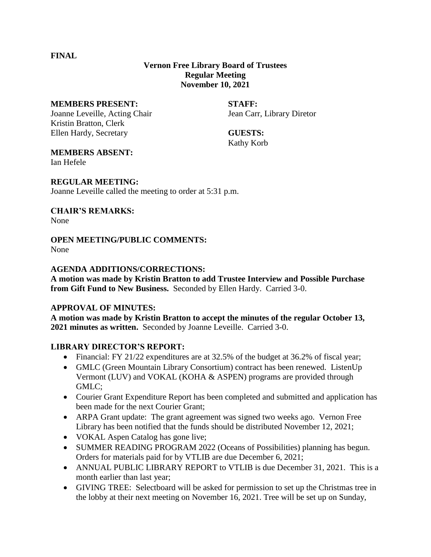**FINAL**

### **Vernon Free Library Board of Trustees Regular Meeting November 10, 2021**

#### **MEMBERS PRESENT: STAFF:**

Joanne Leveille, Acting Chair Jean Carr, Library Diretor Kristin Bratton, Clerk Ellen Hardy, Secretary **GUESTS:**

Kathy Korb

#### **MEMBERS ABSENT:**

Ian Hefele

#### **REGULAR MEETING:**

Joanne Leveille called the meeting to order at 5:31 p.m.

#### **CHAIR'S REMARKS:**

None

# **OPEN MEETING/PUBLIC COMMENTS:**

None

#### **AGENDA ADDITIONS/CORRECTIONS:**

**A motion was made by Kristin Bratton to add Trustee Interview and Possible Purchase from Gift Fund to New Business.** Seconded by Ellen Hardy. Carried 3-0.

#### **APPROVAL OF MINUTES:**

**A motion was made by Kristin Bratton to accept the minutes of the regular October 13, 2021 minutes as written.** Seconded by Joanne Leveille. Carried 3-0.

#### **LIBRARY DIRECTOR'S REPORT:**

- Financial: FY 21/22 expenditures are at 32.5% of the budget at 36.2% of fiscal year;
- GMLC (Green Mountain Library Consortium) contract has been renewed. ListenUp Vermont (LUV) and VOKAL (KOHA & ASPEN) programs are provided through GMLC;
- Courier Grant Expenditure Report has been completed and submitted and application has been made for the next Courier Grant;
- ARPA Grant update: The grant agreement was signed two weeks ago. Vernon Free Library has been notified that the funds should be distributed November 12, 2021;
- VOKAL Aspen Catalog has gone live;
- SUMMER READING PROGRAM 2022 (Oceans of Possibilities) planning has begun. Orders for materials paid for by VTLIB are due December 6, 2021;
- ANNUAL PUBLIC LIBRARY REPORT to VTLIB is due December 31, 2021. This is a month earlier than last year;
- GIVING TREE: Selectboard will be asked for permission to set up the Christmas tree in the lobby at their next meeting on November 16, 2021. Tree will be set up on Sunday,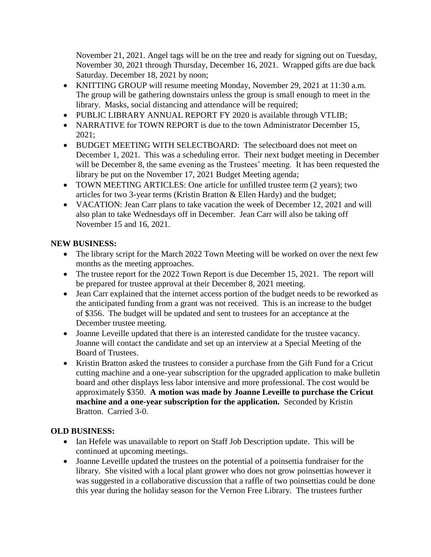November 21, 2021. Angel tags will be on the tree and ready for signing out on Tuesday, November 30, 2021 through Thursday, December 16, 2021. Wrapped gifts are due back Saturday. December 18, 2021 by noon;

- KNITTING GROUP will resume meeting Monday, November 29, 2021 at 11:30 a.m. The group will be gathering downstairs unless the group is small enough to meet in the library. Masks, social distancing and attendance will be required;
- PUBLIC LIBRARY ANNUAL REPORT FY 2020 is available through VTLIB;
- NARRATIVE for TOWN REPORT is due to the town Administrator December 15, 2021;
- BUDGET MEETING WITH SELECTBOARD: The selectboard does not meet on December 1, 2021. This was a scheduling error. Their next budget meeting in December will be December 8, the same evening as the Trustees' meeting. It has been requested the library be put on the November 17, 2021 Budget Meeting agenda;
- TOWN MEETING ARTICLES: One article for unfilled trustee term (2 years); two articles for two 3-year terms (Kristin Bratton & Ellen Hardy) and the budget;
- VACATION: Jean Carr plans to take vacation the week of December 12, 2021 and will also plan to take Wednesdays off in December. Jean Carr will also be taking off November 15 and 16, 2021.

## **NEW BUSINESS:**

- The library script for the March 2022 Town Meeting will be worked on over the next few months as the meeting approaches.
- The trustee report for the 2022 Town Report is due December 15, 2021. The report will be prepared for trustee approval at their December 8, 2021 meeting.
- Jean Carr explained that the internet access portion of the budget needs to be reworked as the anticipated funding from a grant was not received. This is an increase to the budget of \$356. The budget will be updated and sent to trustees for an acceptance at the December trustee meeting.
- Joanne Leveille updated that there is an interested candidate for the trustee vacancy. Joanne will contact the candidate and set up an interview at a Special Meeting of the Board of Trustees.
- Kristin Bratton asked the trustees to consider a purchase from the Gift Fund for a Cricut cutting machine and a one-year subscription for the upgraded application to make bulletin board and other displays less labor intensive and more professional. The cost would be approximately \$350. **A motion was made by Joanne Leveille to purchase the Cricut machine and a one-year subscription for the application.** Seconded by Kristin Bratton. Carried 3-0.

## **OLD BUSINESS:**

- Ian Hefele was unavailable to report on Staff Job Description update. This will be continued at upcoming meetings.
- Joanne Leveille updated the trustees on the potential of a poinsettia fundraiser for the library. She visited with a local plant grower who does not grow poinsettias however it was suggested in a collaborative discussion that a raffle of two poinsettias could be done this year during the holiday season for the Vernon Free Library. The trustees further